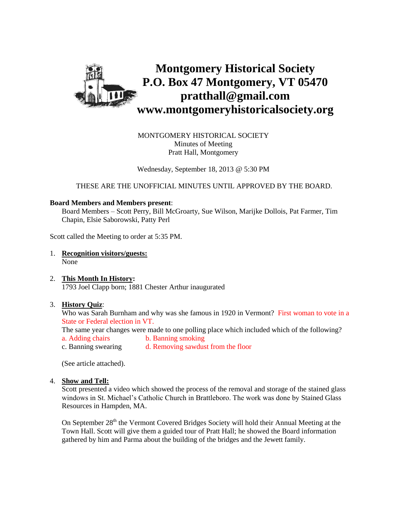

MONTGOMERY HISTORICAL SOCIETY Minutes of Meeting Pratt Hall, Montgomery

Wednesday, September 18, 2013 @ 5:30 PM

THESE ARE THE UNOFFICIAL MINUTES UNTIL APPROVED BY THE BOARD.

#### **Board Members and Members present**:

Board Members – Scott Perry, Bill McGroarty, Sue Wilson, Marijke Dollois, Pat Farmer, Tim Chapin, Elsie Saborowski, Patty Perl

Scott called the Meeting to order at 5:35 PM.

- 1. **Recognition visitors/guests:** None
- 2. **This Month In History:**  1793 Joel Clapp born; 1881 Chester Arthur inaugurated

#### 3. **History Quiz**:

Who was Sarah Burnham and why was she famous in 1920 in Vermont? First woman to vote in a State or Federal election in VT.

The same year changes were made to one polling place which included which of the following? a. Adding chairs b. Banning smoking

c. Banning swearing d. Removing sawdust from the floor

(See article attached).

4. **Show and Tell:**

Scott presented a video which showed the process of the removal and storage of the stained glass windows in St. Michael's Catholic Church in Brattleboro. The work was done by Stained Glass Resources in Hampden, MA.

On September  $28<sup>th</sup>$  the Vermont Covered Bridges Society will hold their Annual Meeting at the Town Hall. Scott will give them a guided tour of Pratt Hall; he showed the Board information gathered by him and Parma about the building of the bridges and the Jewett family.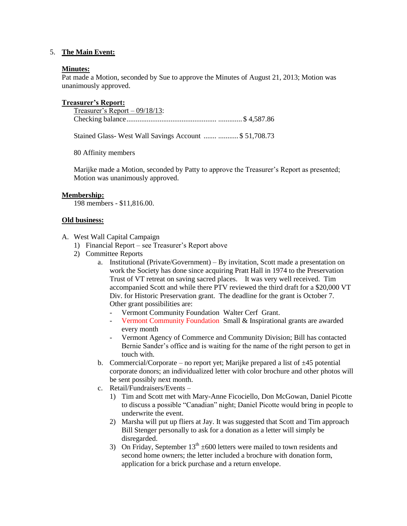## 5. **The Main Event:**

#### **Minutes:**

Pat made a Motion, seconded by Sue to approve the Minutes of August 21, 2013; Motion was unanimously approved.

## **Treasurer's Report:**

Treasurer's Report – 09/18/13: Checking balance................................................. ............. \$ 4,587.86

Stained Glass- West Wall Savings Account ....... ........... \$ 51,708.73

80 Affinity members

Marijke made a Motion, seconded by Patty to approve the Treasurer's Report as presented; Motion was unanimously approved.

## **Membership:**

198 members - \$11,816.00.

## **Old business:**

A. West Wall Capital Campaign

- 1) Financial Report see Treasurer's Report above
- 2) Committee Reports
	- a. Institutional (Private/Government) By invitation, Scott made a presentation on work the Society has done since acquiring Pratt Hall in 1974 to the Preservation Trust of VT retreat on saving sacred places. It was very well received. Tim accompanied Scott and while there PTV reviewed the third draft for a \$20,000 VT Div. for Historic Preservation grant. The deadline for the grant is October 7. Other grant possibilities are:
		- Vermont Community Foundation Walter Cerf Grant.
		- Vermont Community Foundation Small & Inspirational grants are awarded every month
		- Vermont Agency of Commerce and Community Division; Bill has contacted Bernie Sander's office and is waiting for the name of the right person to get in touch with.
	- b. Commercial/Corporate no report yet; Marijke prepared a list of  $\pm 45$  potential corporate donors; an individualized letter with color brochure and other photos will be sent possibly next month.
	- c. Retail/Fundraisers/Events
		- 1) Tim and Scott met with Mary-Anne Ficociello, Don McGowan, Daniel Picotte to discuss a possible "Canadian" night; Daniel Picotte would bring in people to underwrite the event.
		- 2) Marsha will put up fliers at Jay. It was suggested that Scott and Tim approach Bill Stenger personally to ask for a donation as a letter will simply be disregarded.
		- 3) On Friday, September  $13^{th} \pm 600$  letters were mailed to town residents and second home owners; the letter included a brochure with donation form, application for a brick purchase and a return envelope.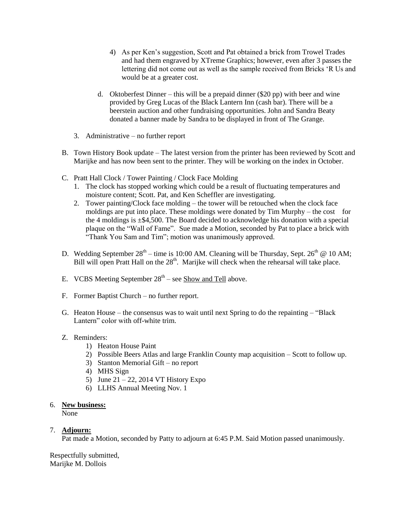- 4) As per Ken's suggestion, Scott and Pat obtained a brick from Trowel Trades and had them engraved by XTreme Graphics; however, even after 3 passes the lettering did not come out as well as the sample received from Bricks 'R Us and would be at a greater cost.
- d. Oktoberfest Dinner this will be a prepaid dinner  $(\$20 pp)$  with beer and wine provided by Greg Lucas of the Black Lantern Inn (cash bar). There will be a beerstein auction and other fundraising opportunities. John and Sandra Beaty donated a banner made by Sandra to be displayed in front of The Grange.
- 3. Administrative no further report
- B. Town History Book update The latest version from the printer has been reviewed by Scott and Marijke and has now been sent to the printer. They will be working on the index in October.
- C. Pratt Hall Clock / Tower Painting / Clock Face Molding
	- 1. The clock has stopped working which could be a result of fluctuating temperatures and moisture content; Scott. Pat, and Ken Scheffler are investigating.
	- 2. Tower painting/Clock face molding the tower will be retouched when the clock face moldings are put into place. These moldings were donated by Tim Murphy – the cost for the 4 moldings is  $\pm$ \$4,500. The Board decided to acknowledge his donation with a special plaque on the "Wall of Fame". Sue made a Motion, seconded by Pat to place a brick with "Thank You Sam and Tim"; motion was unanimously approved.
- D. Wedding September  $28<sup>th</sup> -$  time is 10:00 AM. Cleaning will be Thursday, Sept.  $26<sup>th</sup>$  @ 10 AM; Bill will open Pratt Hall on the  $28<sup>th</sup>$ . Marijke will check when the rehearsal will take place.
- E. VCBS Meeting September 28<sup>th</sup> see **Show and Tell** above.
- F. Former Baptist Church no further report.
- G. Heaton House the consensus was to wait until next Spring to do the repainting "Black Lantern" color with off-white trim.

## Z. Reminders:

- 1) Heaton House Paint
- 2) Possible Beers Atlas and large Franklin County map acquisition Scott to follow up.
- 3) Stanton Memorial Gift no report
- 4) MHS Sign
- 5) June 21 22, 2014 VT History Expo
- 6) LLHS Annual Meeting Nov. 1

## 6. **New business:**

None

## 7. **Adjourn:**

Pat made a Motion, seconded by Patty to adjourn at 6:45 P.M. Said Motion passed unanimously.

Respectfully submitted, Marijke M. Dollois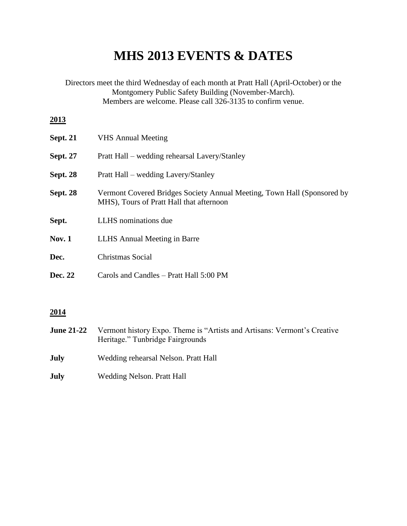# **MHS 2013 EVENTS & DATES**

Directors meet the third Wednesday of each month at Pratt Hall (April-October) or the Montgomery Public Safety Building (November-March). Members are welcome. Please call 326-3135 to confirm venue. **2013 Sept. 21** VHS Annual Meeting **Sept. 27** Pratt Hall – wedding rehearsal Lavery/Stanley **Sept. 28** Pratt Hall – wedding Lavery/Stanley **Sept. 28** Vermont Covered Bridges Society Annual Meeting, Town Hall (Sponsored by MHS), Tours of Pratt Hall that afternoon **Sept.** LLHS nominations due Nov. 1 LLHS Annual Meeting in Barre **Dec.** Christmas Social **Dec. 22** Carols and Candles – Pratt Hall 5:00 PM

## **2014**

- **June 21-22** Vermont history Expo. Theme is "Artists and Artisans: Vermont's Creative Heritage." Tunbridge Fairgrounds
- **July** Wedding rehearsal Nelson. Pratt Hall
- **July** Wedding Nelson. Pratt Hall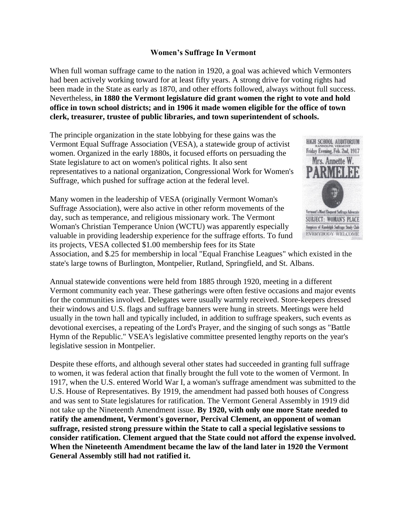# **Women's Suffrage In Vermont**

When full woman suffrage came to the nation in 1920, a goal was achieved which Vermonters had been actively working toward for at least fifty years. A strong drive for voting rights had been made in the State as early as 1870, and other efforts followed, always without full success. Nevertheless, **in 1880 the Vermont legislature did grant women the right to vote and hold office in town school districts; and in 1906 it made women eligible for the office of town clerk, treasurer, trustee of public libraries, and town superintendent of schools.**

The principle organization in the state lobbying for these gains was the Vermont Equal Suffrage Association (VESA), a statewide group of activist women. Organized in the early 1880s, it focused efforts on persuading the State legislature to act on women's political rights. It also sent representatives to a national organization, Congressional Work for Women's Suffrage, which pushed for suffrage action at the federal level.

Many women in the leadership of VESA (originally Vermont Woman's Suffrage Association), were also active in other reform movements of the day, such as temperance, and religious missionary work. The Vermont Woman's Christian Temperance Union (WCTU) was apparently especially valuable in providing leadership experience for the suffrage efforts. To fund its projects, VESA collected \$1.00 membership fees for its State



Ampires of Randolph Suffrage Study Club **EVERYBODY WELCOME** 

Association, and \$.25 for membership in local "Equal Franchise Leagues" which existed in the state's large towns of Burlington, Montpelier, Rutland, Springfield, and St. Albans.

Annual statewide conventions were held from 1885 through 1920, meeting in a different Vermont community each year. These gatherings were often festive occasions and major events for the communities involved. Delegates were usually warmly received. Store-keepers dressed their windows and U.S. flags and suffrage banners were hung in streets. Meetings were held usually in the town hall and typically included, in addition to suffrage speakers, such events as devotional exercises, a repeating of the Lord's Prayer, and the singing of such songs as "Battle Hymn of the Republic." VSEA's legislative committee presented lengthy reports on the year's legislative session in Montpelier.

Despite these efforts, and although several other states had succeeded in granting full suffrage to women, it was federal action that finally brought the full vote to the women of Vermont. In 1917, when the U.S. entered World War I, a woman's suffrage amendment was submitted to the U.S. House of Representatives. By 1919, the amendment had passed both houses of Congress and was sent to State legislatures for ratification. The Vermont General Assembly in 1919 did not take up the Nineteenth Amendment issue. **By 1920, with only one more State needed to ratify the amendment, Vermont's governor, Percival Clement, an opponent of woman suffrage, resisted strong pressure within the State to call a special legislative sessions to consider ratification. Clement argued that the State could not afford the expense involved. When the Nineteenth Amendment became the law of the land later in 1920 the Vermont General Assembly still had not ratified it.**